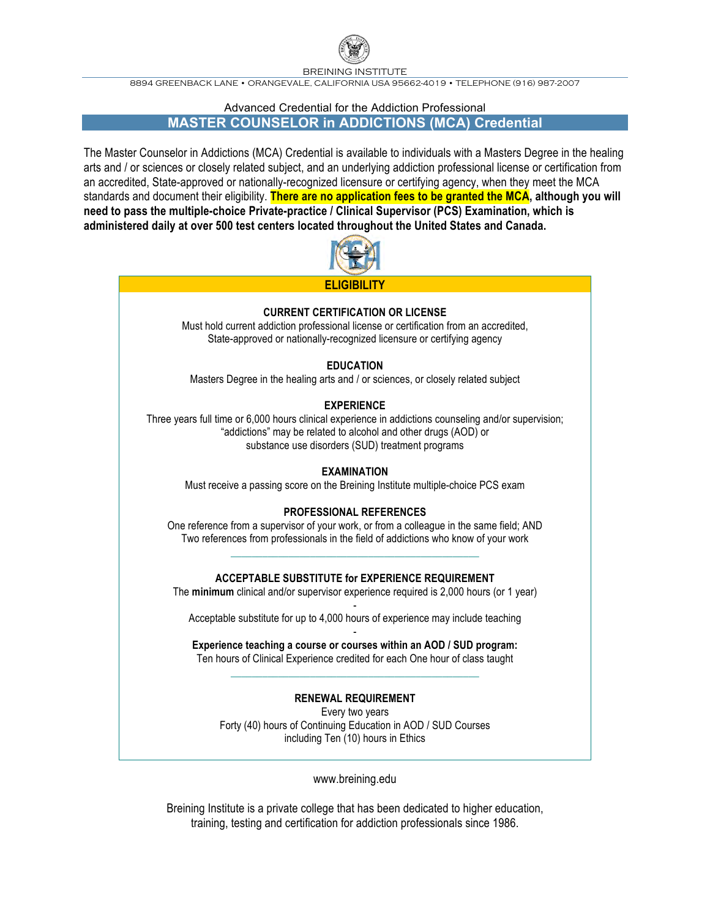

BREINING INSTITUTE

8894 GREENBACK LANE • ORANGEVALE, CALIFORNIA USA 95662-4019 • TELEPHONE (916) 987-2007

### Advanced Credential for the Addiction Professional

**MASTER COUNSELOR in ADDICTIONS (MCA) Credential**

The Master Counselor in Addictions (MCA) Credential is available to individuals with a Masters Degree in the healing arts and / or sciences or closely related subject, and an underlying addiction professional license or certification from an accredited, State-approved or nationally-recognized licensure or certifying agency, when they meet the MCA standards and document their eligibility. **There are no application fees to be granted the MCA, although you will need to pass the multiple-choice Private-practice / Clinical Supervisor (PCS) Examination, which is administered daily at over 500 test centers located throughout the United States and Canada.**



# **CURRENT CERTIFICATION OR LICENSE**

Must hold current addiction professional license or certification from an accredited, State-approved or nationally-recognized licensure or certifying agency

# **EDUCATION**

Masters Degree in the healing arts and / or sciences, or closely related subject

# **EXPERIENCE**

Three years full time or 6,000 hours clinical experience in addictions counseling and/or supervision; "addictions" may be related to alcohol and other drugs (AOD) or substance use disorders (SUD) treatment programs

# **EXAMINATION**

Must receive a passing score on the Breining Institute multiple-choice PCS exam

# **PROFESSIONAL REFERENCES**

One reference from a supervisor of your work, or from a colleague in the same field; AND Two references from professionals in the field of addictions who know of your work \_\_\_\_\_\_\_\_\_\_\_\_\_\_\_\_\_\_\_\_\_\_\_\_\_\_\_\_\_\_\_\_\_\_\_\_\_\_\_\_\_\_\_\_\_\_\_

### **ACCEPTABLE SUBSTITUTE for EXPERIENCE REQUIREMENT**

The **minimum** clinical and/or supervisor experience required is 2,000 hours (or 1 year)

- Acceptable substitute for up to 4,000 hours of experience may include teaching

- **Experience teaching a course or courses within an AOD / SUD program:** Ten hours of Clinical Experience credited for each One hour of class taught \_\_\_\_\_\_\_\_\_\_\_\_\_\_\_\_\_\_\_\_\_\_\_\_\_\_\_\_\_\_\_\_\_\_\_\_\_\_\_\_\_\_\_\_\_\_\_

# **RENEWAL REQUIREMENT**

Every two years Forty (40) hours of Continuing Education in AOD / SUD Courses including Ten (10) hours in Ethics

www.breining.edu

Breining Institute is a private college that has been dedicated to higher education, training, testing and certification for addiction professionals since 1986.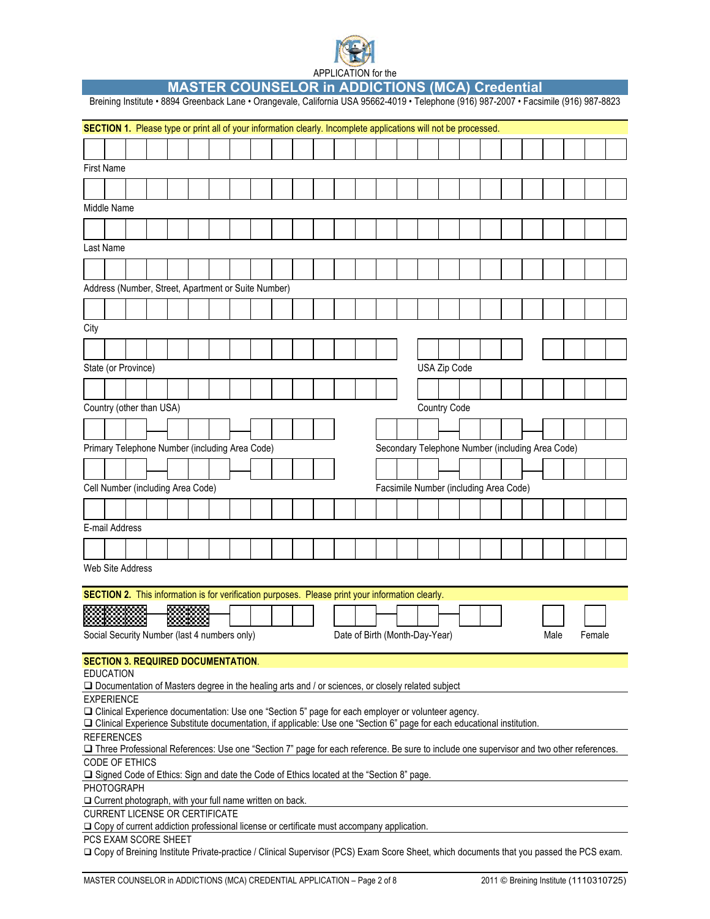

**MASTER COUNSELOR in ADDICTIONS (MCA) Credential** 

|      |                         | Breining Institute · 8894 Greenback Lane · Orangevale, California USA 95662-4019 · Telephone (916) 987-2007 · Facsimile (916) 987-8823                                                                                            |  |  |  |  |  |                                |  |                                                  |  |  |      |        |  |
|------|-------------------------|-----------------------------------------------------------------------------------------------------------------------------------------------------------------------------------------------------------------------------------|--|--|--|--|--|--------------------------------|--|--------------------------------------------------|--|--|------|--------|--|
|      |                         | SECTION 1. Please type or print all of your information clearly. Incomplete applications will not be processed.                                                                                                                   |  |  |  |  |  |                                |  |                                                  |  |  |      |        |  |
|      |                         |                                                                                                                                                                                                                                   |  |  |  |  |  |                                |  |                                                  |  |  |      |        |  |
|      | <b>First Name</b>       |                                                                                                                                                                                                                                   |  |  |  |  |  |                                |  |                                                  |  |  |      |        |  |
|      |                         |                                                                                                                                                                                                                                   |  |  |  |  |  |                                |  |                                                  |  |  |      |        |  |
|      |                         |                                                                                                                                                                                                                                   |  |  |  |  |  |                                |  |                                                  |  |  |      |        |  |
|      | Middle Name             |                                                                                                                                                                                                                                   |  |  |  |  |  |                                |  |                                                  |  |  |      |        |  |
|      |                         |                                                                                                                                                                                                                                   |  |  |  |  |  |                                |  |                                                  |  |  |      |        |  |
|      | Last Name               |                                                                                                                                                                                                                                   |  |  |  |  |  |                                |  |                                                  |  |  |      |        |  |
|      |                         |                                                                                                                                                                                                                                   |  |  |  |  |  |                                |  |                                                  |  |  |      |        |  |
|      |                         | Address (Number, Street, Apartment or Suite Number)                                                                                                                                                                               |  |  |  |  |  |                                |  |                                                  |  |  |      |        |  |
|      |                         |                                                                                                                                                                                                                                   |  |  |  |  |  |                                |  |                                                  |  |  |      |        |  |
| City |                         |                                                                                                                                                                                                                                   |  |  |  |  |  |                                |  |                                                  |  |  |      |        |  |
|      |                         |                                                                                                                                                                                                                                   |  |  |  |  |  |                                |  |                                                  |  |  |      |        |  |
|      | State (or Province)     |                                                                                                                                                                                                                                   |  |  |  |  |  |                                |  | USA Zip Code                                     |  |  |      |        |  |
|      |                         |                                                                                                                                                                                                                                   |  |  |  |  |  |                                |  |                                                  |  |  |      |        |  |
|      |                         |                                                                                                                                                                                                                                   |  |  |  |  |  |                                |  |                                                  |  |  |      |        |  |
|      |                         | Country (other than USA)                                                                                                                                                                                                          |  |  |  |  |  |                                |  | <b>Country Code</b>                              |  |  |      |        |  |
|      |                         |                                                                                                                                                                                                                                   |  |  |  |  |  |                                |  |                                                  |  |  |      |        |  |
|      |                         | Primary Telephone Number (including Area Code)                                                                                                                                                                                    |  |  |  |  |  |                                |  | Secondary Telephone Number (including Area Code) |  |  |      |        |  |
|      |                         |                                                                                                                                                                                                                                   |  |  |  |  |  |                                |  |                                                  |  |  |      |        |  |
|      |                         | Cell Number (including Area Code)                                                                                                                                                                                                 |  |  |  |  |  |                                |  | Facsimile Number (including Area Code)           |  |  |      |        |  |
|      |                         |                                                                                                                                                                                                                                   |  |  |  |  |  |                                |  |                                                  |  |  |      |        |  |
|      | E-mail Address          |                                                                                                                                                                                                                                   |  |  |  |  |  |                                |  |                                                  |  |  |      |        |  |
|      |                         |                                                                                                                                                                                                                                   |  |  |  |  |  |                                |  |                                                  |  |  |      |        |  |
|      |                         |                                                                                                                                                                                                                                   |  |  |  |  |  |                                |  |                                                  |  |  |      |        |  |
|      | <b>Web Site Address</b> |                                                                                                                                                                                                                                   |  |  |  |  |  |                                |  |                                                  |  |  |      |        |  |
|      |                         | SECTION 2. This information is for verification purposes. Please print your information clearly.                                                                                                                                  |  |  |  |  |  |                                |  |                                                  |  |  |      |        |  |
|      |                         |                                                                                                                                                                                                                                   |  |  |  |  |  |                                |  |                                                  |  |  |      |        |  |
|      |                         | Social Security Number (last 4 numbers only)                                                                                                                                                                                      |  |  |  |  |  | Date of Birth (Month-Day-Year) |  |                                                  |  |  | Male | Female |  |
|      |                         |                                                                                                                                                                                                                                   |  |  |  |  |  |                                |  |                                                  |  |  |      |        |  |
|      |                         | <b>SECTION 3. REQUIRED DOCUMENTATION.</b>                                                                                                                                                                                         |  |  |  |  |  |                                |  |                                                  |  |  |      |        |  |
|      | <b>EDUCATION</b>        | □ Documentation of Masters degree in the healing arts and / or sciences, or closely related subject                                                                                                                               |  |  |  |  |  |                                |  |                                                  |  |  |      |        |  |
|      | <b>EXPERIENCE</b>       |                                                                                                                                                                                                                                   |  |  |  |  |  |                                |  |                                                  |  |  |      |        |  |
|      |                         | □ Clinical Experience documentation: Use one "Section 5" page for each employer or volunteer agency.<br>□ Clinical Experience Substitute documentation, if applicable: Use one "Section 6" page for each educational institution. |  |  |  |  |  |                                |  |                                                  |  |  |      |        |  |
|      | <b>REFERENCES</b>       |                                                                                                                                                                                                                                   |  |  |  |  |  |                                |  |                                                  |  |  |      |        |  |
|      |                         | □ Three Professional References: Use one "Section 7" page for each reference. Be sure to include one supervisor and two other references.                                                                                         |  |  |  |  |  |                                |  |                                                  |  |  |      |        |  |
|      |                         | CODE OF ETHICS<br>□ Signed Code of Ethics: Sign and date the Code of Ethics located at the "Section 8" page.                                                                                                                      |  |  |  |  |  |                                |  |                                                  |  |  |      |        |  |
|      | PHOTOGRAPH              |                                                                                                                                                                                                                                   |  |  |  |  |  |                                |  |                                                  |  |  |      |        |  |
|      |                         | □ Current photograph, with your full name written on back.                                                                                                                                                                        |  |  |  |  |  |                                |  |                                                  |  |  |      |        |  |
|      |                         | CURRENT LICENSE OR CERTIFICATE<br>□ Copy of current addiction professional license or certificate must accompany application.                                                                                                     |  |  |  |  |  |                                |  |                                                  |  |  |      |        |  |
|      |                         | PCS EXAM SCORE SHEET                                                                                                                                                                                                              |  |  |  |  |  |                                |  |                                                  |  |  |      |        |  |
|      |                         | □ Copy of Breining Institute Private-practice / Clinical Supervisor (PCS) Exam Score Sheet, which documents that you passed the PCS exam.                                                                                         |  |  |  |  |  |                                |  |                                                  |  |  |      |        |  |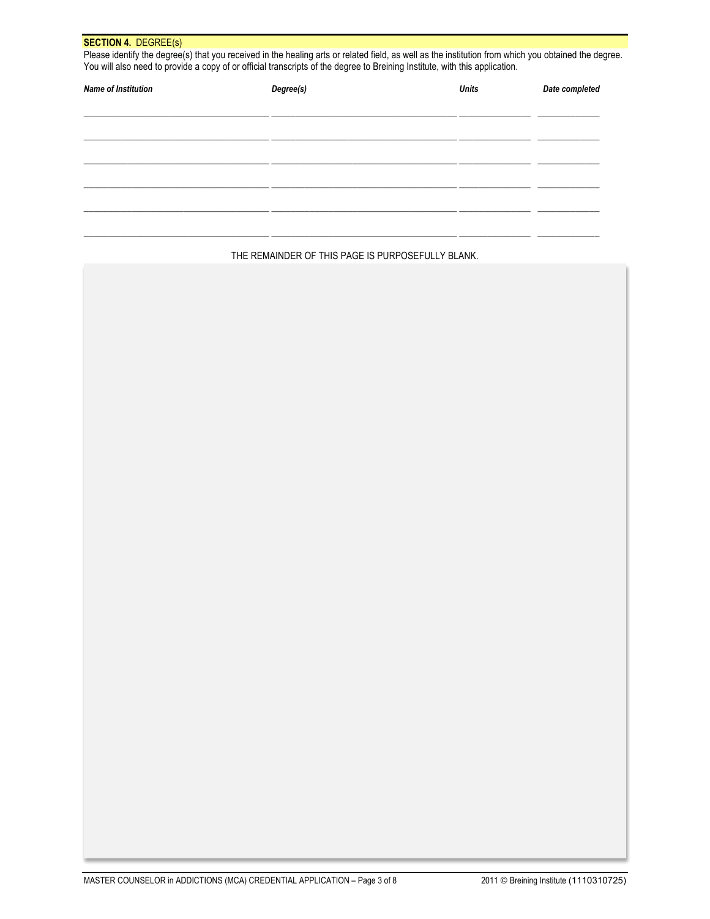| <b>SECTION 4. DEGREE(s)</b> | Please identify the degree(s) that you received in the healing arts or related field, as well as the institution from which you obtained the degree.<br>You will also need to provide a copy of or official transcripts of the degree to Breining Institute, with this application. |              |                |
|-----------------------------|-------------------------------------------------------------------------------------------------------------------------------------------------------------------------------------------------------------------------------------------------------------------------------------|--------------|----------------|
| <b>Name of Institution</b>  | Degree(s)                                                                                                                                                                                                                                                                           | <b>Units</b> | Date completed |
|                             |                                                                                                                                                                                                                                                                                     |              |                |
|                             |                                                                                                                                                                                                                                                                                     |              |                |
|                             |                                                                                                                                                                                                                                                                                     |              |                |
|                             |                                                                                                                                                                                                                                                                                     |              |                |
|                             |                                                                                                                                                                                                                                                                                     |              |                |
|                             |                                                                                                                                                                                                                                                                                     |              |                |
|                             |                                                                                                                                                                                                                                                                                     |              |                |

THE REMAINDER OF THIS PAGE IS PURPOSEFULLY BLANK.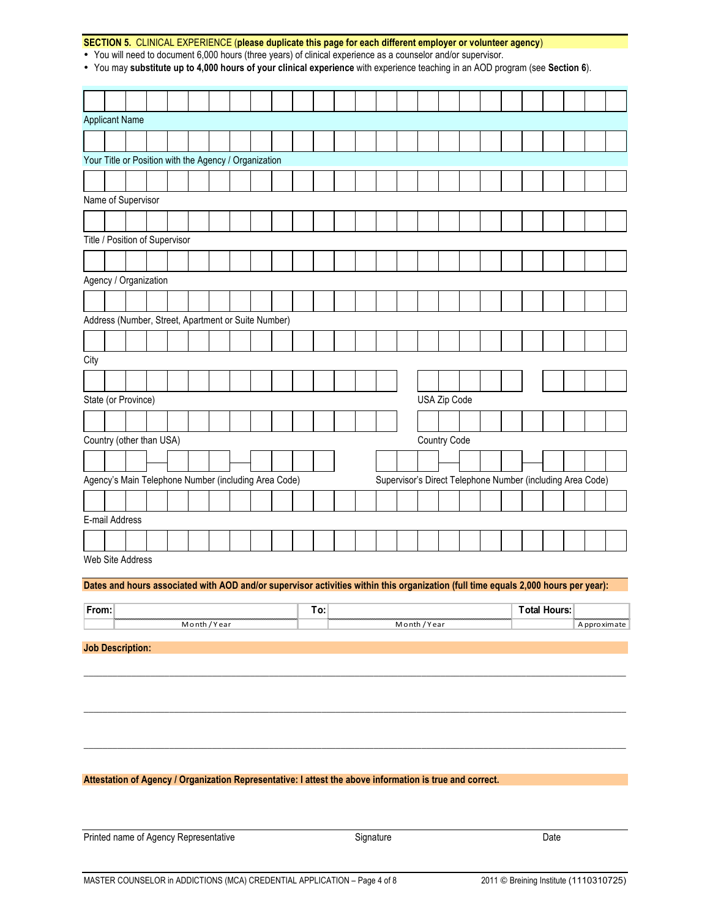### **SECTION 5.** CLINICAL EXPERIENCE (**please duplicate this page for each different employer or volunteer agency**)

• You will need to document 6,000 hours (three years) of clinical experience as a counselor and/or supervisor.

• You may **substitute up to 4,000 hours of your clinical experience** with experience teaching in an AOD program (see **Section 6**).

| <b>Applicant Name</b>                                 |                                                     |                  |  |  |  |  |  |  |  |  |  |  |  |                                                            |  |              |  |  |  |  |  |
|-------------------------------------------------------|-----------------------------------------------------|------------------|--|--|--|--|--|--|--|--|--|--|--|------------------------------------------------------------|--|--------------|--|--|--|--|--|
|                                                       |                                                     |                  |  |  |  |  |  |  |  |  |  |  |  |                                                            |  |              |  |  |  |  |  |
|                                                       |                                                     |                  |  |  |  |  |  |  |  |  |  |  |  |                                                            |  |              |  |  |  |  |  |
| Your Title or Position with the Agency / Organization |                                                     |                  |  |  |  |  |  |  |  |  |  |  |  |                                                            |  |              |  |  |  |  |  |
|                                                       |                                                     |                  |  |  |  |  |  |  |  |  |  |  |  |                                                            |  |              |  |  |  |  |  |
| Name of Supervisor                                    |                                                     |                  |  |  |  |  |  |  |  |  |  |  |  |                                                            |  |              |  |  |  |  |  |
|                                                       |                                                     |                  |  |  |  |  |  |  |  |  |  |  |  |                                                            |  |              |  |  |  |  |  |
| Title / Position of Supervisor                        |                                                     |                  |  |  |  |  |  |  |  |  |  |  |  |                                                            |  |              |  |  |  |  |  |
|                                                       |                                                     |                  |  |  |  |  |  |  |  |  |  |  |  |                                                            |  |              |  |  |  |  |  |
|                                                       |                                                     |                  |  |  |  |  |  |  |  |  |  |  |  |                                                            |  |              |  |  |  |  |  |
| Agency / Organization                                 |                                                     |                  |  |  |  |  |  |  |  |  |  |  |  |                                                            |  |              |  |  |  |  |  |
|                                                       |                                                     |                  |  |  |  |  |  |  |  |  |  |  |  |                                                            |  |              |  |  |  |  |  |
|                                                       | Address (Number, Street, Apartment or Suite Number) |                  |  |  |  |  |  |  |  |  |  |  |  |                                                            |  |              |  |  |  |  |  |
|                                                       |                                                     |                  |  |  |  |  |  |  |  |  |  |  |  |                                                            |  |              |  |  |  |  |  |
| City                                                  |                                                     |                  |  |  |  |  |  |  |  |  |  |  |  |                                                            |  |              |  |  |  |  |  |
|                                                       |                                                     |                  |  |  |  |  |  |  |  |  |  |  |  |                                                            |  |              |  |  |  |  |  |
| State (or Province)                                   |                                                     |                  |  |  |  |  |  |  |  |  |  |  |  |                                                            |  | USA Zip Code |  |  |  |  |  |
|                                                       |                                                     |                  |  |  |  |  |  |  |  |  |  |  |  |                                                            |  |              |  |  |  |  |  |
|                                                       |                                                     |                  |  |  |  |  |  |  |  |  |  |  |  |                                                            |  |              |  |  |  |  |  |
| Country (other than USA)                              |                                                     |                  |  |  |  |  |  |  |  |  |  |  |  |                                                            |  | Country Code |  |  |  |  |  |
|                                                       |                                                     |                  |  |  |  |  |  |  |  |  |  |  |  |                                                            |  |              |  |  |  |  |  |
| Agency's Main Telephone Number (including Area Code)  |                                                     |                  |  |  |  |  |  |  |  |  |  |  |  | Supervisor's Direct Telephone Number (including Area Code) |  |              |  |  |  |  |  |
|                                                       |                                                     |                  |  |  |  |  |  |  |  |  |  |  |  |                                                            |  |              |  |  |  |  |  |
| E-mail Address                                        |                                                     |                  |  |  |  |  |  |  |  |  |  |  |  |                                                            |  |              |  |  |  |  |  |
|                                                       |                                                     |                  |  |  |  |  |  |  |  |  |  |  |  |                                                            |  |              |  |  |  |  |  |
|                                                       |                                                     | Wah Sita Address |  |  |  |  |  |  |  |  |  |  |  |                                                            |  |              |  |  |  |  |  |

Web Site Address

#### **Dates and hours associated with AOD and/or supervisor activities within this organization (full time equals 2,000 hours per year):**

| $\sim$ |    |    |  |
|--------|----|----|--|
|        | ea | ca |  |

\_\_\_\_\_\_\_\_\_\_\_\_\_\_\_\_\_\_\_\_\_\_\_\_\_\_\_\_\_\_\_\_\_\_\_\_\_\_\_\_\_\_\_\_\_\_\_\_\_\_\_\_\_\_\_\_\_\_\_\_\_\_\_\_\_\_\_\_\_\_\_\_\_\_\_\_\_\_\_\_\_\_\_\_\_\_\_\_\_\_\_\_\_\_\_\_\_\_\_\_\_\_\_\_\_\_\_\_\_\_\_\_\_\_

\_\_\_\_\_\_\_\_\_\_\_\_\_\_\_\_\_\_\_\_\_\_\_\_\_\_\_\_\_\_\_\_\_\_\_\_\_\_\_\_\_\_\_\_\_\_\_\_\_\_\_\_\_\_\_\_\_\_\_\_\_\_\_\_\_\_\_\_\_\_\_\_\_\_\_\_\_\_\_\_\_\_\_\_\_\_\_\_\_\_\_\_\_\_\_\_\_\_\_\_\_\_\_\_\_\_\_\_\_\_\_\_\_\_

\_\_\_\_\_\_\_\_\_\_\_\_\_\_\_\_\_\_\_\_\_\_\_\_\_\_\_\_\_\_\_\_\_\_\_\_\_\_\_\_\_\_\_\_\_\_\_\_\_\_\_\_\_\_\_\_\_\_\_\_\_\_\_\_\_\_\_\_\_\_\_\_\_\_\_\_\_\_\_\_\_\_\_\_\_\_\_\_\_\_\_\_\_\_\_\_\_\_\_\_\_\_\_\_\_\_\_\_\_\_\_\_\_\_

**Job Description:**

#### **Attestation of Agency / Organization Representative: I attest the above information is true and correct.**

Printed name of Agency Representative **System State State State State State State** Signature State State State Date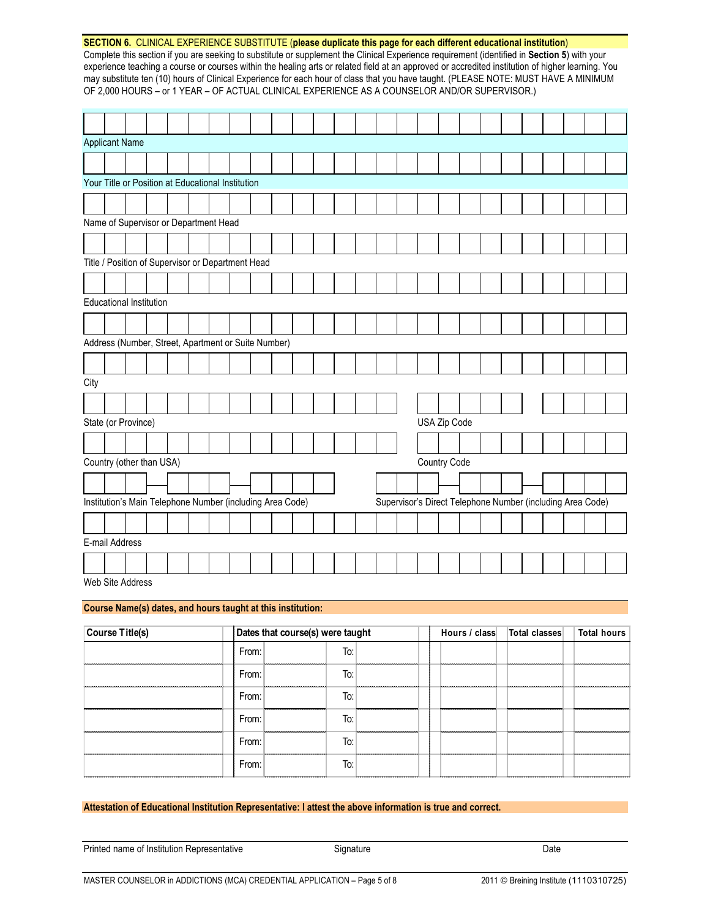| SECTION 6. CLINICAL EXPERIENCE SUBSTITUTE (please duplicate this page for each different educational institution)                                 |
|---------------------------------------------------------------------------------------------------------------------------------------------------|
| Complete this section if you are seeking to substitute or supplement the Clinical Experience requirement (identified in Section 5) with your      |
| experience teaching a course or courses within the healing arts or related field at an approved or accredited institution of higher learning. You |
| may substitute ten (10) hours of Clinical Experience for each hour of class that you have taught. (PLEASE NOTE: MUST HAVE A MINIMUM               |
| OF 2,000 HOURS – or 1 YEAR – OF ACTUAL CLINICAL EXPERIENCE AS A COUNSELOR AND/OR SUPERVISOR.)                                                     |

|                | <b>Applicant Name</b>                                     |  |  |  |  |  |                                                            |  |              |  |  |  |  |
|----------------|-----------------------------------------------------------|--|--|--|--|--|------------------------------------------------------------|--|--------------|--|--|--|--|
|                |                                                           |  |  |  |  |  |                                                            |  |              |  |  |  |  |
|                | Your Title or Position at Educational Institution         |  |  |  |  |  |                                                            |  |              |  |  |  |  |
|                |                                                           |  |  |  |  |  |                                                            |  |              |  |  |  |  |
|                | Name of Supervisor or Department Head                     |  |  |  |  |  |                                                            |  |              |  |  |  |  |
|                |                                                           |  |  |  |  |  |                                                            |  |              |  |  |  |  |
|                | Title / Position of Supervisor or Department Head         |  |  |  |  |  |                                                            |  |              |  |  |  |  |
|                |                                                           |  |  |  |  |  |                                                            |  |              |  |  |  |  |
|                | <b>Educational Institution</b>                            |  |  |  |  |  |                                                            |  |              |  |  |  |  |
|                |                                                           |  |  |  |  |  |                                                            |  |              |  |  |  |  |
|                | Address (Number, Street, Apartment or Suite Number)       |  |  |  |  |  |                                                            |  |              |  |  |  |  |
|                |                                                           |  |  |  |  |  |                                                            |  |              |  |  |  |  |
| City           |                                                           |  |  |  |  |  |                                                            |  |              |  |  |  |  |
|                |                                                           |  |  |  |  |  |                                                            |  |              |  |  |  |  |
|                | State (or Province)                                       |  |  |  |  |  |                                                            |  | USA Zip Code |  |  |  |  |
|                |                                                           |  |  |  |  |  |                                                            |  |              |  |  |  |  |
|                | Country (other than USA)                                  |  |  |  |  |  |                                                            |  | Country Code |  |  |  |  |
|                |                                                           |  |  |  |  |  |                                                            |  |              |  |  |  |  |
|                | Institution's Main Telephone Number (including Area Code) |  |  |  |  |  | Supervisor's Direct Telephone Number (including Area Code) |  |              |  |  |  |  |
|                |                                                           |  |  |  |  |  |                                                            |  |              |  |  |  |  |
| E-mail Address |                                                           |  |  |  |  |  |                                                            |  |              |  |  |  |  |
|                |                                                           |  |  |  |  |  |                                                            |  |              |  |  |  |  |

Web Site Address

### **Course Name(s) dates, and hours taught at this institution:**

| Course Title(s) |       | Dates that course(s) were taught           |                                      | Hours / class   Total classes |                                       | Total hours |
|-----------------|-------|--------------------------------------------|--------------------------------------|-------------------------------|---------------------------------------|-------------|
|                 | From: |                                            |                                      |                               |                                       |             |
|                 | From: | Τo                                         |                                      |                               |                                       |             |
|                 | From: | Т٥                                         | ---------------------------          | <u></u>                       |                                       |             |
|                 | From: | To:                                        |                                      |                               |                                       |             |
|                 | From: | ,,,,,,,,,,,,,,,,,,,,,,,,,,,,,,,,,,,,<br>١o | ,,,,,,,,,,,,,,,,,,,,,,,,,,,,,,,,,,,, | <u>inaannannannan</u>         | ,,,,,,,,,,,,,,,,,,,,,,,,,,,,,,,       |             |
|                 | From: | Τo                                         |                                      |                               | ,,,,,,,,,,,,,,,,,,,,,,,,,,,,,,,,,,,,, |             |

### **Attestation of Educational Institution Representative: I attest the above information is true and correct.**

| Printed name of Institution Representative | Signature | Date |
|--------------------------------------------|-----------|------|
|                                            |           |      |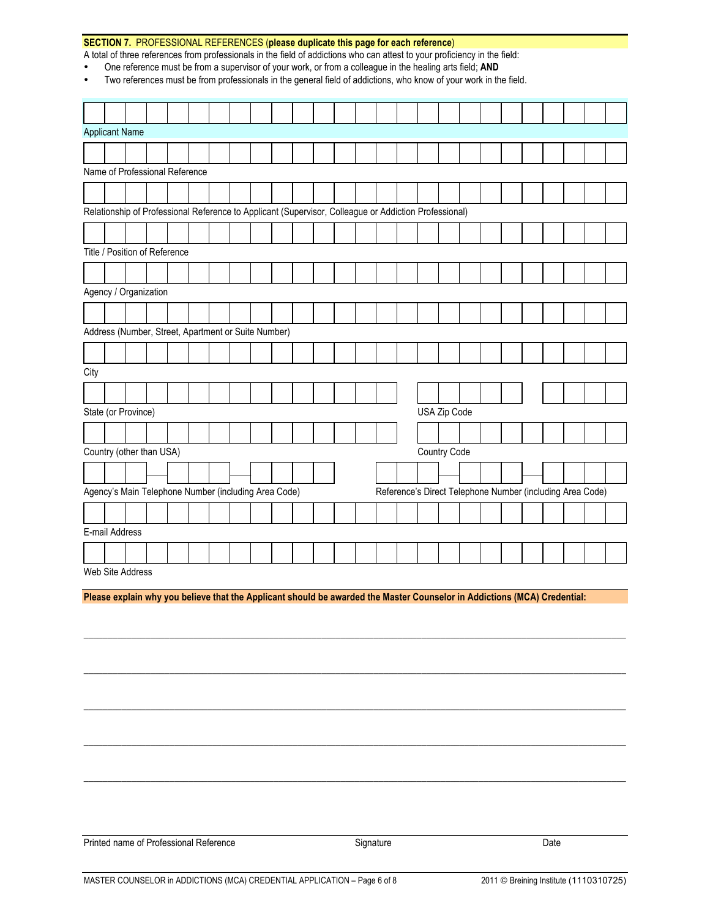|                |                | SECTION 7. PROFESSIONAL REFERENCES (please duplicate this page for each reference)                                                                                                                                            |  |  |  |  |  |                                                           |              |  |  |  |  |  |
|----------------|----------------|-------------------------------------------------------------------------------------------------------------------------------------------------------------------------------------------------------------------------------|--|--|--|--|--|-----------------------------------------------------------|--------------|--|--|--|--|--|
|                |                | A total of three references from professionals in the field of addictions who can attest to your proficiency in the field:                                                                                                    |  |  |  |  |  |                                                           |              |  |  |  |  |  |
| $\bullet$<br>٠ |                | One reference must be from a supervisor of your work, or from a colleague in the healing arts field; AND<br>Two references must be from professionals in the general field of addictions, who know of your work in the field. |  |  |  |  |  |                                                           |              |  |  |  |  |  |
|                |                |                                                                                                                                                                                                                               |  |  |  |  |  |                                                           |              |  |  |  |  |  |
|                |                |                                                                                                                                                                                                                               |  |  |  |  |  |                                                           |              |  |  |  |  |  |
|                |                |                                                                                                                                                                                                                               |  |  |  |  |  |                                                           |              |  |  |  |  |  |
|                |                | <b>Applicant Name</b>                                                                                                                                                                                                         |  |  |  |  |  |                                                           |              |  |  |  |  |  |
|                |                |                                                                                                                                                                                                                               |  |  |  |  |  |                                                           |              |  |  |  |  |  |
|                |                | Name of Professional Reference                                                                                                                                                                                                |  |  |  |  |  |                                                           |              |  |  |  |  |  |
|                |                |                                                                                                                                                                                                                               |  |  |  |  |  |                                                           |              |  |  |  |  |  |
|                |                | Relationship of Professional Reference to Applicant (Supervisor, Colleague or Addiction Professional)                                                                                                                         |  |  |  |  |  |                                                           |              |  |  |  |  |  |
|                |                |                                                                                                                                                                                                                               |  |  |  |  |  |                                                           |              |  |  |  |  |  |
|                |                |                                                                                                                                                                                                                               |  |  |  |  |  |                                                           |              |  |  |  |  |  |
|                |                | Title / Position of Reference                                                                                                                                                                                                 |  |  |  |  |  |                                                           |              |  |  |  |  |  |
|                |                |                                                                                                                                                                                                                               |  |  |  |  |  |                                                           |              |  |  |  |  |  |
|                |                | Agency / Organization                                                                                                                                                                                                         |  |  |  |  |  |                                                           |              |  |  |  |  |  |
|                |                |                                                                                                                                                                                                                               |  |  |  |  |  |                                                           |              |  |  |  |  |  |
|                |                | Address (Number, Street, Apartment or Suite Number)                                                                                                                                                                           |  |  |  |  |  |                                                           |              |  |  |  |  |  |
|                |                |                                                                                                                                                                                                                               |  |  |  |  |  |                                                           |              |  |  |  |  |  |
|                |                |                                                                                                                                                                                                                               |  |  |  |  |  |                                                           |              |  |  |  |  |  |
| City           |                |                                                                                                                                                                                                                               |  |  |  |  |  |                                                           |              |  |  |  |  |  |
|                |                |                                                                                                                                                                                                                               |  |  |  |  |  |                                                           |              |  |  |  |  |  |
|                |                | State (or Province)                                                                                                                                                                                                           |  |  |  |  |  |                                                           | USA Zip Code |  |  |  |  |  |
|                |                |                                                                                                                                                                                                                               |  |  |  |  |  |                                                           |              |  |  |  |  |  |
|                |                | Country (other than USA)                                                                                                                                                                                                      |  |  |  |  |  |                                                           | Country Code |  |  |  |  |  |
|                |                |                                                                                                                                                                                                                               |  |  |  |  |  |                                                           |              |  |  |  |  |  |
|                |                |                                                                                                                                                                                                                               |  |  |  |  |  |                                                           |              |  |  |  |  |  |
|                |                | Agency's Main Telephone Number (including Area Code)                                                                                                                                                                          |  |  |  |  |  | Reference's Direct Telephone Number (including Area Code) |              |  |  |  |  |  |
|                |                |                                                                                                                                                                                                                               |  |  |  |  |  |                                                           |              |  |  |  |  |  |
|                | E-mail Address |                                                                                                                                                                                                                               |  |  |  |  |  |                                                           |              |  |  |  |  |  |
|                |                |                                                                                                                                                                                                                               |  |  |  |  |  |                                                           |              |  |  |  |  |  |
|                |                | Web Site Address                                                                                                                                                                                                              |  |  |  |  |  |                                                           |              |  |  |  |  |  |
|                |                |                                                                                                                                                                                                                               |  |  |  |  |  |                                                           |              |  |  |  |  |  |
|                |                | Please explain why you believe that the Applicant should be awarded the Master Counselor in Addictions (MCA) Credential:                                                                                                      |  |  |  |  |  |                                                           |              |  |  |  |  |  |
|                |                |                                                                                                                                                                                                                               |  |  |  |  |  |                                                           |              |  |  |  |  |  |
|                |                |                                                                                                                                                                                                                               |  |  |  |  |  |                                                           |              |  |  |  |  |  |
|                |                |                                                                                                                                                                                                                               |  |  |  |  |  |                                                           |              |  |  |  |  |  |

Printed name of Professional Reference Signature Signature Signature Date

\_\_\_\_\_\_\_\_\_\_\_\_\_\_\_\_\_\_\_\_\_\_\_\_\_\_\_\_\_\_\_\_\_\_\_\_\_\_\_\_\_\_\_\_\_\_\_\_\_\_\_\_\_\_\_\_\_\_\_\_\_\_\_\_\_\_\_\_\_\_\_\_\_\_\_\_\_\_\_\_\_\_\_\_\_\_\_\_\_\_\_\_\_\_\_\_\_\_\_\_\_\_\_\_\_\_\_\_\_\_\_\_\_\_

\_\_\_\_\_\_\_\_\_\_\_\_\_\_\_\_\_\_\_\_\_\_\_\_\_\_\_\_\_\_\_\_\_\_\_\_\_\_\_\_\_\_\_\_\_\_\_\_\_\_\_\_\_\_\_\_\_\_\_\_\_\_\_\_\_\_\_\_\_\_\_\_\_\_\_\_\_\_\_\_\_\_\_\_\_\_\_\_\_\_\_\_\_\_\_\_\_\_\_\_\_\_\_\_\_\_\_\_\_\_\_\_\_\_

\_\_\_\_\_\_\_\_\_\_\_\_\_\_\_\_\_\_\_\_\_\_\_\_\_\_\_\_\_\_\_\_\_\_\_\_\_\_\_\_\_\_\_\_\_\_\_\_\_\_\_\_\_\_\_\_\_\_\_\_\_\_\_\_\_\_\_\_\_\_\_\_\_\_\_\_\_\_\_\_\_\_\_\_\_\_\_\_\_\_\_\_\_\_\_\_\_\_\_\_\_\_\_\_\_\_\_\_\_\_\_\_\_\_

\_\_\_\_\_\_\_\_\_\_\_\_\_\_\_\_\_\_\_\_\_\_\_\_\_\_\_\_\_\_\_\_\_\_\_\_\_\_\_\_\_\_\_\_\_\_\_\_\_\_\_\_\_\_\_\_\_\_\_\_\_\_\_\_\_\_\_\_\_\_\_\_\_\_\_\_\_\_\_\_\_\_\_\_\_\_\_\_\_\_\_\_\_\_\_\_\_\_\_\_\_\_\_\_\_\_\_\_\_\_\_\_\_\_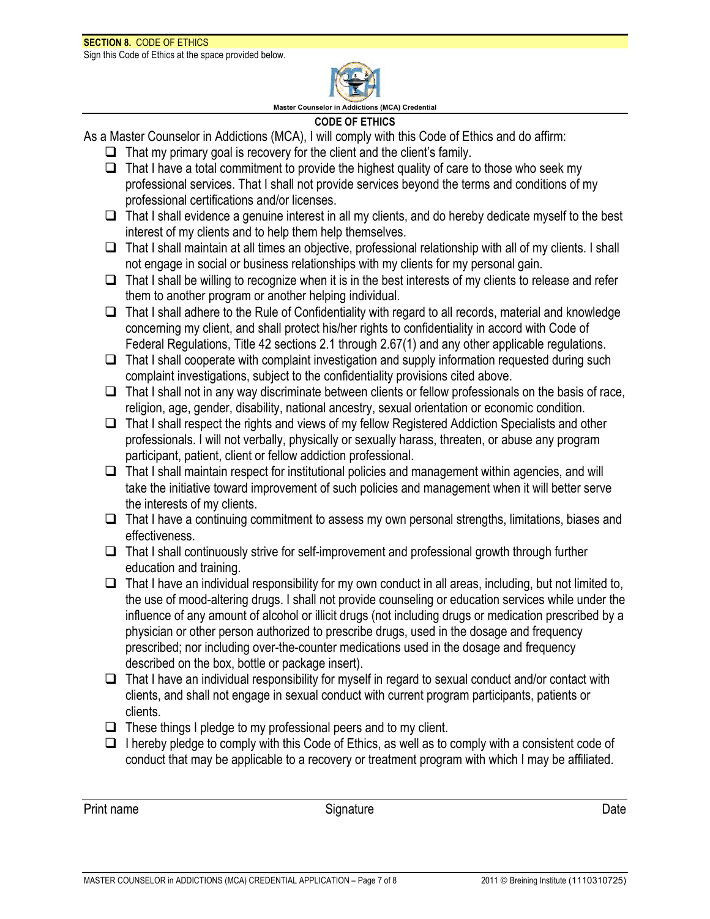

**Master Counselor in Addictions (MCA) Credential**

# **CODE OF ETHICS**

As a Master Counselor in Addictions (MCA), I will comply with this Code of Ethics and do affirm:

- $\Box$  That my primary goal is recovery for the client and the client's family.
- $\Box$  That I have a total commitment to provide the highest quality of care to those who seek my professional services. That I shall not provide services beyond the terms and conditions of my professional certifications and/or licenses.
- $\Box$  That I shall evidence a genuine interest in all my clients, and do hereby dedicate myself to the best interest of my clients and to help them help themselves.
- $\Box$  That I shall maintain at all times an objective, professional relationship with all of my clients. I shall not engage in social or business relationships with my clients for my personal gain.
- $\Box$  That I shall be willing to recognize when it is in the best interests of my clients to release and refer them to another program or another helping individual.
- $\Box$  That I shall adhere to the Rule of Confidentiality with regard to all records, material and knowledge concerning my client, and shall protect his/her rights to confidentiality in accord with Code of Federal Regulations, Title 42 sections 2.1 through 2.67(1) and any other applicable regulations.
- $\Box$  That I shall cooperate with complaint investigation and supply information requested during such complaint investigations, subject to the confidentiality provisions cited above.
- $\Box$  That I shall not in any way discriminate between clients or fellow professionals on the basis of race, religion, age, gender, disability, national ancestry, sexual orientation or economic condition.
- $\Box$  That I shall respect the rights and views of my fellow Registered Addiction Specialists and other professionals. I will not verbally, physically or sexually harass, threaten, or abuse any program participant, patient, client or fellow addiction professional.
- $\Box$  That I shall maintain respect for institutional policies and management within agencies, and will take the initiative toward improvement of such policies and management when it will better serve the interests of my clients.
- $\Box$  That I have a continuing commitment to assess my own personal strengths, limitations, biases and effectiveness.
- $\Box$  That I shall continuously strive for self-improvement and professional growth through further education and training.
- $\Box$  That I have an individual responsibility for my own conduct in all areas, including, but not limited to, the use of mood-altering drugs. I shall not provide counseling or education services while under the influence of any amount of alcohol or illicit drugs (not including drugs or medication prescribed by a physician or other person authorized to prescribe drugs, used in the dosage and frequency prescribed; nor including over-the-counter medications used in the dosage and frequency described on the box, bottle or package insert).
- $\Box$  That I have an individual responsibility for myself in regard to sexual conduct and/or contact with clients, and shall not engage in sexual conduct with current program participants, patients or clients.
- $\Box$  These things I pledge to my professional peers and to my client.
- $\Box$  I hereby pledge to comply with this Code of Ethics, as well as to comply with a consistent code of conduct that may be applicable to a recovery or treatment program with which I may be affiliated.

Print name **Signature** Signature **Community Community Community Community** Date Date